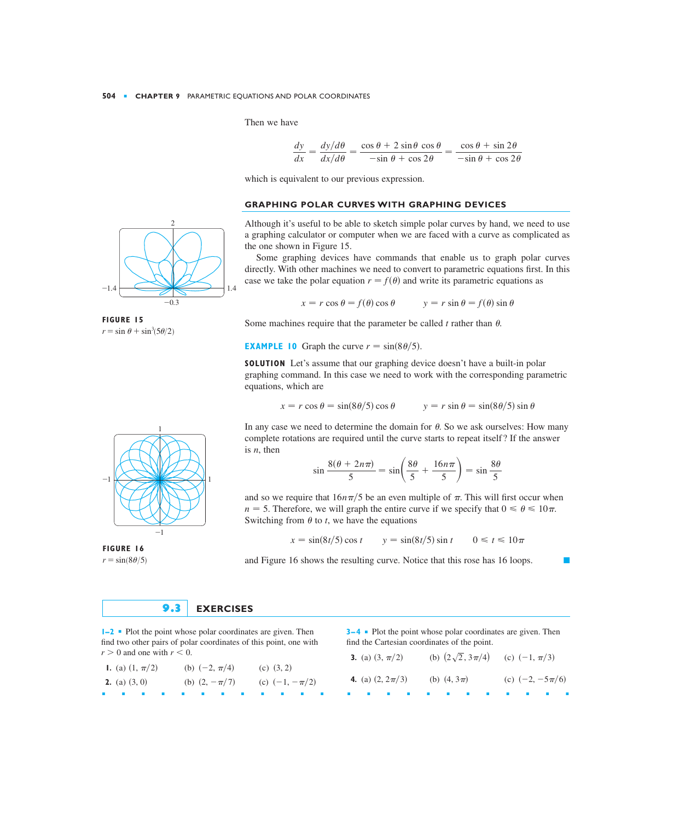Then we have

$$
\frac{dy}{dx} = \frac{dy/d\theta}{dx/d\theta} = \frac{\cos\theta + 2\sin\theta\cos\theta}{-\sin\theta + \cos 2\theta} = \frac{\cos\theta + \sin 2\theta}{-\sin\theta + \cos 2\theta}
$$

which is equivalent to our previous expression.

## **GRAPHING POLAR CURVES WITH GRAPHING DEVICES**

Although it's useful to be able to sketch simple polar curves by hand, we need to use a graphing calculator or computer when we are faced with a curve as complicated as the one shown in Figure 15.

Some graphing devices have commands that enable us to graph polar curves directly. With other machines we need to convert to parametric equations first. In this case we take the polar equation  $r = f(\theta)$  and write its parametric equations as

$$
x = r \cos \theta = f(\theta) \cos \theta \qquad \qquad y = r \sin \theta = f(\theta) \sin \theta
$$

Some machines require that the parameter be called  $t$  rather than  $\theta$ .

**EXAMPLE 10** Graph the curve  $r = \sin(8\theta/5)$ .

**SOLUTION** Let's assume that our graphing device doesn't have a built-in polar graphing command. In this case we need to work with the corresponding parametric equations, which are

$$
x = r \cos \theta = \sin(8\theta/5) \cos \theta \qquad \qquad y = r \sin \theta = \sin(8\theta/5) \sin \theta
$$

In any case we need to determine the domain for  $\theta$ . So we ask ourselves: How many complete rotations are required until the curve starts to repeat itself? If the answer is  $n$ , then

$$
\sin \frac{8(\theta + 2n\pi)}{5} = \sin \left(\frac{8\theta}{5} + \frac{16n\pi}{5}\right) = \sin \frac{8\theta}{5}
$$

and so we require that  $16n\pi/5$  be an even multiple of  $\pi$ . This will first occur when  $n = 5$ . Therefore, we will graph the entire curve if we specify that  $0 \le \theta \le 10\pi$ . Switching from  $\theta$  to *t*, we have the equations

$$
x = \sin(8t/5)\cos t \qquad y = \sin(8t/5)\sin t \qquad 0 \le t \le 10\pi
$$

and Figure 16 shows the resulting curve. Notice that this rose has 16 loops.



**1–2** ■ Plot the point whose polar coordinates are given. Then find two other pairs of polar coordinates of this point, one with  $r > 0$  and one with  $r < 0$ .

| <b>I.</b> (a) $(1, \pi/2)$ |  | (b) $(-2, \pi/4)$ |  | (c) $(3, 2)$ |                    |  |
|----------------------------|--|-------------------|--|--------------|--------------------|--|
| <b>2.</b> (a) $(3, 0)$     |  | (b) $(2, -\pi/7)$ |  |              | (c) $(-1, -\pi/2)$ |  |
|                            |  |                   |  |              |                    |  |

**3–4** ■ Plot the point whose polar coordinates are given. Then find the Cartesian coordinates of the point.

| 3. (a) $(3, \pi/2)$  | (b) $(2\sqrt{2}, 3\pi/4)$ (c) $(-1, \pi/3)$ |                     |
|----------------------|---------------------------------------------|---------------------|
| 4. (a) $(2, 2\pi/3)$ | (b) $(4, 3\pi)$                             | (c) $(-2, -5\pi/6)$ |
|                      | $\mathbf{r}$                                | .                   |



**FIGURE 16**  $r=\sin(8\theta/5)$ 



 $\mathcal{L}$ 



 $r=\sin \theta + \sin^3(5\theta/2)$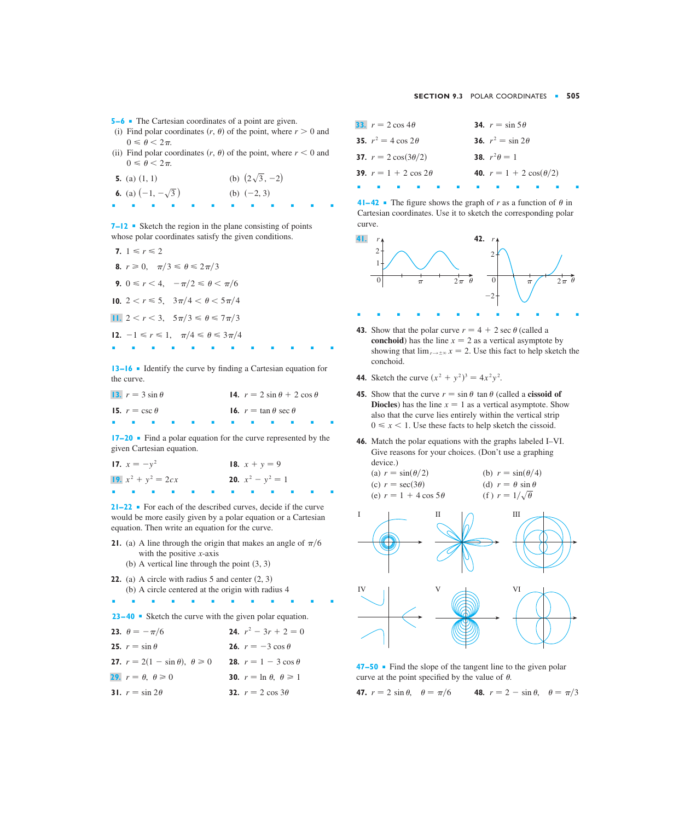- **5−6** The Cartesian coordinates of a point are given.
- (i) Find polar coordinates  $(r, \theta)$  of the point, where  $r > 0$  and  $0 \leq \theta \leq 2\pi$ .
- (ii) Find polar coordinates  $(r, \theta)$  of the point, where  $r < 0$  and  $0 \leq \theta \leq 2\pi$ .
- **5.** (a)  $(1, 1)$ **6.** (a)  $\left(-1, -\sqrt{3}\right)$ ■■■■■■■■■■■■ (b)  $(-2, 3)$ (b)  $(2\sqrt{3}, -2)$

**7–12** ■ Sketch the region in the plane consisting of points whose polar coordinates satisfy the given conditions.

|   | 7. $1 \le r \le 2$                                          |
|---|-------------------------------------------------------------|
|   | <b>8.</b> $r \ge 0$ , $\pi/3 \le \theta \le 2\pi/3$         |
|   | <b>9.</b> $0 \le r < 4$ , $-\pi/2 \le \theta < \pi/6$       |
|   | 10. $2 < r \le 5$ , $3\pi/4 < \theta < 5\pi/4$              |
|   | <b>11.</b> $2 < r < 3$ , $5\pi/3 \le \theta \le 7\pi/3$     |
|   | <b>12.</b> $-1 \le r \le 1$ , $\pi/4 \le \theta \le 3\pi/4$ |
| ш |                                                             |

**13–16** ■ Identify the curve by finding a Cartesian equation for the curve.

|            | 13. $r = 3 \sin \theta$ |  |  |  |                                   | 14. $r = 2 \sin \theta + 2 \cos \theta$ |  |
|------------|-------------------------|--|--|--|-----------------------------------|-----------------------------------------|--|
|            | 15. $r = \csc \theta$   |  |  |  | 16. $r = \tan \theta \sec \theta$ |                                         |  |
| <b>COL</b> |                         |  |  |  |                                   |                                         |  |

**17–20** ■ Find a polar equation for the curve represented by the given Cartesian equation.

| 17. $x = -y^2$        |  |  |  | 18. $x + y = 9$            |  |  |
|-----------------------|--|--|--|----------------------------|--|--|
| 19. $x^2 + y^2 = 2cx$ |  |  |  | <b>20.</b> $x^2 - y^2 = 1$ |  |  |
|                       |  |  |  |                            |  |  |

**21–22** ■ For each of the described curves, decide if the curve would be more easily given by a polar equation or a Cartesian equation. Then write an equation for the curve.

**21.** (a) A line through the origin that makes an angle of  $\pi/6$ with the positive  $x$ -axis

■■■■■■■■■■■■

- (b) A vertical line through the point  $(3, 3)$
- **22.** (a) A circle with radius  $5$  and center  $(2, 3)$ (b) A circle centered at the origin with radius 4
- **23–40** Sketch the curve with the given polar equation.

| <b>23.</b> $\theta = -\pi/6$                        | <b>24.</b> $r^2 - 3r + 2 = 0$                |
|-----------------------------------------------------|----------------------------------------------|
| 25. $r = \sin \theta$                               | <b>26.</b> $r = -3 \cos \theta$              |
| <b>27.</b> $r = 2(1 - \sin \theta), \ \theta \ge 0$ | <b>28.</b> $r = 1 - 3 \cos \theta$           |
| <b>29.</b> $r = \theta, \ \theta \ge 0$             | <b>30.</b> $r = \ln \theta$ , $\theta \ge 1$ |
| 31. $r = \sin 2\theta$                              | <b>32.</b> $r = 2 \cos 3\theta$              |

| <b>33.</b> $r = 2 \cos 4\theta$     | 34. $r = \sin 5\theta$                |
|-------------------------------------|---------------------------------------|
| <b>35.</b> $r^2 = 4 \cos 2\theta$   | <b>36.</b> $r^2 = \sin 2\theta$       |
| <b>37.</b> $r = 2 \cos(3\theta/2)$  | <b>38.</b> $r^2\theta = 1$            |
| <b>39.</b> $r = 1 + 2 \cos 2\theta$ | <b>40.</b> $r = 1 + 2 \cos(\theta/2)$ |
|                                     |                                       |

**41–42** • The figure shows the graph of r as a function of  $\theta$  in Cartesian coordinates. Use it to sketch the corresponding polar curve.



- **43.** Show that the polar curve  $r = 4 + 2 \sec \theta$  (called a **conchoid**) has the line  $x = 2$  as a vertical asymptote by showing that  $\lim_{r \to \pm \infty} x = 2$ . Use this fact to help sketch the conchoid.
- **44.** Sketch the curve  $(x^2 + y^2)^3 = 4x^2y^2$ .
- **45.** Show that the curve  $r = \sin \theta \tan \theta$  (called a **cissoid of Diocles**) has the line  $x = 1$  as a vertical asymptote. Show also that the curve lies entirely within the vertical strip  $0 \leq x < 1$ . Use these facts to help sketch the cissoid.
- **46.** Match the polar equations with the graphs labeled I–VI. Give reasons for your choices. (Don't use a graphing device.)

| (a) $r = \sin(\theta/2)$     | (b) $r = \sin(\theta/4)$     |
|------------------------------|------------------------------|
| (c) $r = \sec(3\theta)$      | (d) $r = \theta \sin \theta$ |
| (e) $r = 1 + 4 \cos 5\theta$ | (f) $r = 1/\sqrt{\theta}$    |



**47–50** ■ Find the slope of the tangent line to the given polar curve at the point specified by the value of  $\theta$ .

**47.**  $r = 2 \sin \theta$ ,  $\theta = \pi/6$  **48.**  $r = 2 - \sin \theta$ ,  $\theta = \pi/3$